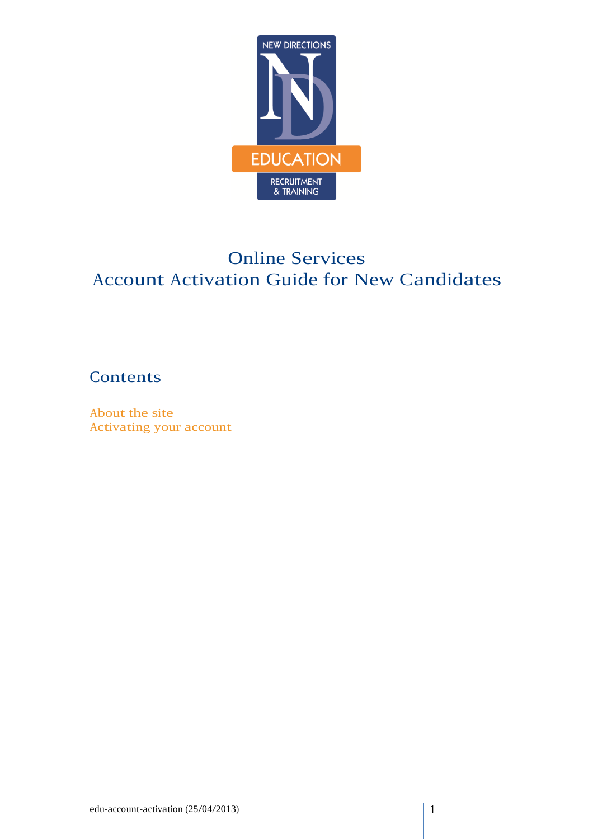

# Online Services Account Activation Guide for New Candidates

## Contents

About the site Activating your account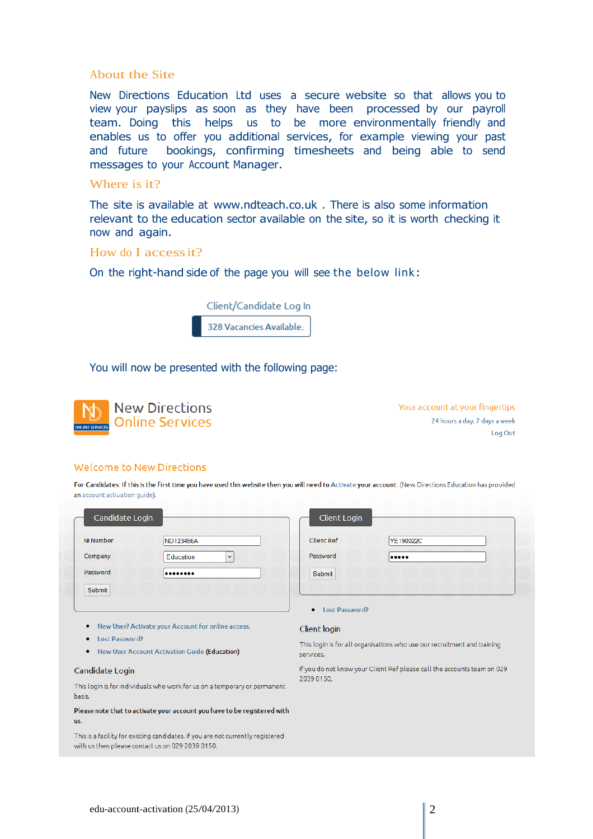### About the Site

New Directions Education Ltd uses a secure website so that allows you to view your payslips as soon as they have been processed by our payroll team. Doing this helps us to be more environmentally friendly and enables us to offer you additional services, for example viewing your past and future bookings, confirming timesheets and being able to send messages to your Account Manager.

### Where is it?

The site is available at [www.ndteach.co.uk](http://www.ndteach.co.uk/) . There is also some information relevant to the education sector available on the site, so it is worth checking it now and again.

#### How do I accessit?

On the right-hand side of the page you will see the below link:



#### You will now be presented with the following page:



Your account at your fingertips 24 hours a day, 7 days a week Log Out

#### **Welcome to New Directions**

For Candidates: If this is the first time you have used this website then you will need to Activate your account. (New Directions Education has provided an account activation guide).

| Candidate Login  |                           |
|------------------|---------------------------|
| <b>NI Number</b> | ND123456A                 |
| Company          | Education<br>$\checkmark$ |
| Password         |                           |
| Submit           |                           |

| Client Login      |           |
|-------------------|-----------|
| <b>Client Ref</b> | YE190022C |
| Password          |           |
| Submit            |           |
|                   |           |

- New User? Activate your Account for online access.
- Lost Password?
- New User Account Activation Guide (Education)

#### Candidate Login

This login is for individuals who work for us on a temporary or permanent basis.

Please note that to activate your account you have to be registered with us.

This is a facility for existing candidates. If you are not currently registered with us then please contact us on 029 2039 0150.

#### Client login

• Lost Password?

This login is for all organisations who use our recruitment and training services.

If you do not know your Client Ref please call the accounts team on 029 2039 0150.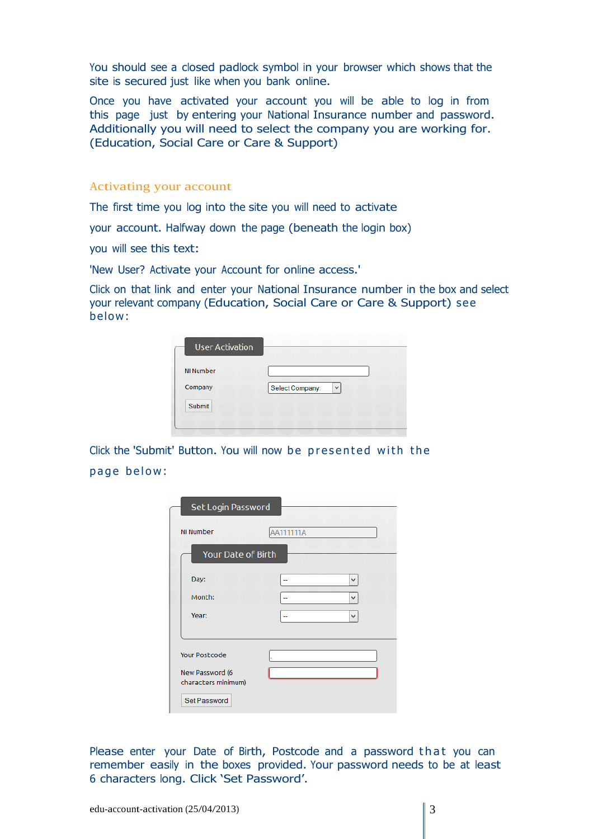You should see a closed padlock symbol in your browser which shows that the site is secured just like when you bank online.

Once you have activated your account you will be able to log in from this page just by entering your National Insurance number and password. Additionally you will need to select the company you are working for. (Education, Social Care or Care & Support)

#### Activating your account

The first time you log into the site you will need to activate

your account. Halfway down the page (beneath the login box)

you will see this text:

'New User? Activate your Account for online access.'

Click on that link and enter your National Insurance number in the box and select your relevant company (Education, Social Care or Care & Support) see below:

| <b>User Activation</b> |                      |
|------------------------|----------------------|
| <b>NI Number</b>       |                      |
| Company                | Select Company:<br>v |
| Submit                 |                      |

Click the 'Submit' Button. You will now be presented with the page below:

| Set Login Password                                                             |           |   |
|--------------------------------------------------------------------------------|-----------|---|
| <b>NI Number</b>                                                               | AA111111A |   |
| Your Date of Birth                                                             |           |   |
| Day:                                                                           |           | v |
| Month:                                                                         |           | v |
| Year:                                                                          |           | v |
| <b>Your Postcode</b><br>New Password (6<br>characters minimum)<br>Set Password |           |   |

Please enter your Date of Birth, Postcode and a password that you can remember easily in the boxes provided. Your password needs to be at least 6 characters long. Click 'Set Password'.